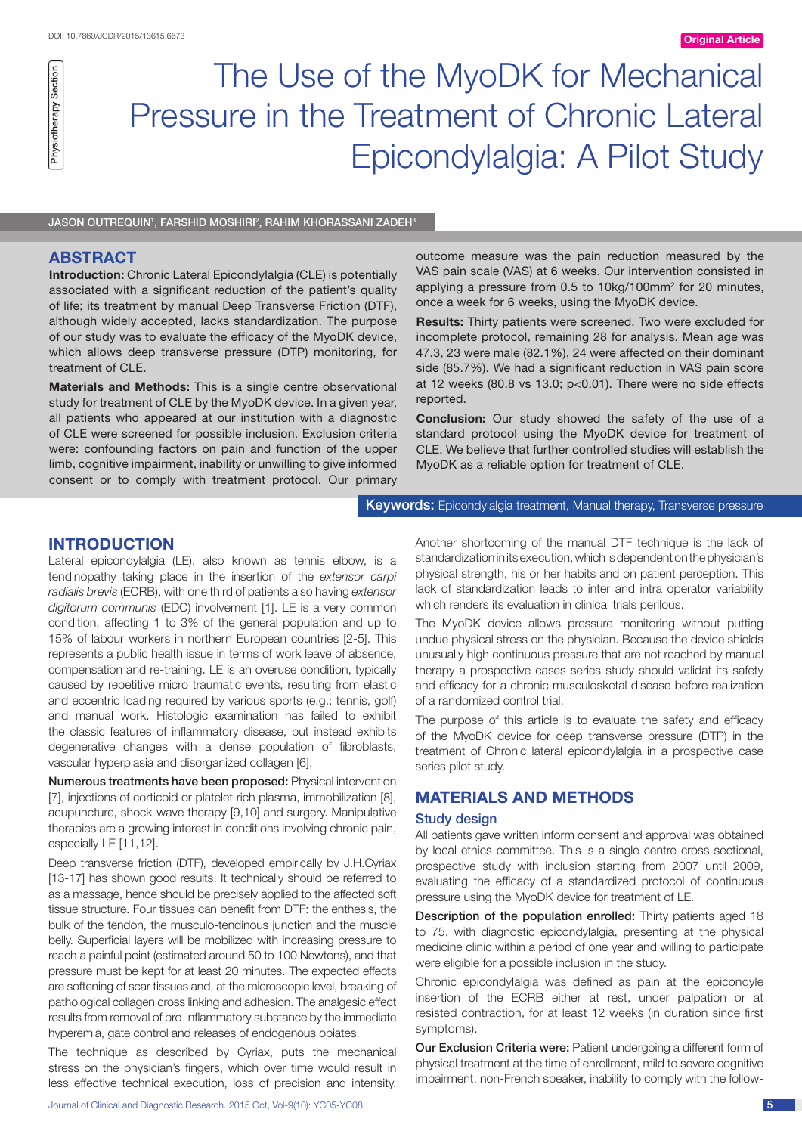# The Use of the MyoDK for Mechanical Pressure in the Treatment of Chronic Lateral Epicondylalgia: A Pilot Study

JASON OUTREQUIN<sup>1</sup>, FARSHID MOSHIRI<sup>2</sup>, RAHIM KHORASSANI ZADEH<sup>3</sup>

## **ABSTRACT**

Physiotherapy Section

Physiotherapy Section

**Introduction:** Chronic Lateral Epicondylalgia (CLE) is potentially associated with a significant reduction of the patient's quality of life; its treatment by manual Deep Transverse Friction (DTF), although widely accepted, lacks standardization. The purpose of our study was to evaluate the efficacy of the MyoDK device, which allows deep transverse pressure (DTP) monitoring, for treatment of CLE.

**Materials and Methods:** This is a single centre observational study for treatment of CLE by the MyoDK device. In a given year, all patients who appeared at our institution with a diagnostic of CLE were screened for possible inclusion. Exclusion criteria were: confounding factors on pain and function of the upper limb, cognitive impairment, inability or unwilling to give informed consent or to comply with treatment protocol. Our primary outcome measure was the pain reduction measured by the VAS pain scale (VAS) at 6 weeks. Our intervention consisted in applying a pressure from 0.5 to 10kg/100mm2 for 20 minutes, once a week for 6 weeks, using the MyoDK device.

**Results:** Thirty patients were screened. Two were excluded for incomplete protocol, remaining 28 for analysis. Mean age was 47.3, 23 were male (82.1%), 24 were affected on their dominant side (85.7%). We had a significant reduction in VAS pain score at 12 weeks (80.8 vs 13.0; p<0.01). There were no side effects reported.

**Conclusion:** Our study showed the safety of the use of a standard protocol using the MyoDK device for treatment of CLE. We believe that further controlled studies will establish the MyoDK as a reliable option for treatment of CLE.

Keywords: Epicondylalgia treatment, Manual therapy, Transverse pressure

## **Introduction**

Lateral epicondylalgia (LE), also known as tennis elbow, is a tendinopathy taking place in the insertion of the *extensor carpi radialis brevis* (ECRB), with one third of patients also having *extensor digitorum communis* (EDC) involvement [1]. LE is a very common condition, affecting 1 to 3% of the general population and up to 15% of labour workers in northern European countries [2-5]. This represents a public health issue in terms of work leave of absence, compensation and re-training. LE is an overuse condition, typically caused by repetitive micro traumatic events, resulting from elastic and eccentric loading required by various sports (e.g.: tennis, golf) and manual work. Histologic examination has failed to exhibit the classic features of inflammatory disease, but instead exhibits degenerative changes with a dense population of fibroblasts, vascular hyperplasia and disorganized collagen [6].

Numerous treatments have been proposed: Physical intervention [7], injections of corticoid or platelet rich plasma, immobilization [8], acupuncture, shock-wave therapy [9,10] and surgery. Manipulative therapies are a growing interest in conditions involving chronic pain, especially LE [11,12].

Deep transverse friction (DTF), developed empirically by J.H.Cyriax [13-17] has shown good results. It technically should be referred to as a massage, hence should be precisely applied to the affected soft tissue structure. Four tissues can benefit from DTF: the enthesis, the bulk of the tendon, the musculo-tendinous junction and the muscle belly. Superficial layers will be mobilized with increasing pressure to reach a painful point (estimated around 50 to 100 Newtons), and that pressure must be kept for at least 20 minutes. The expected effects are softening of scar tissues and, at the microscopic level, breaking of pathological collagen cross linking and adhesion. The analgesic effect results from removal of pro-inflammatory substance by the immediate hyperemia, gate control and releases of endogenous opiates.

The technique as described by Cyriax, puts the mechanical stress on the physician's fingers, which over time would result in less effective technical execution, loss of precision and intensity.

Journal of Clinical and Diagnostic Research. 2015 Oct, Vol-9(10): YC05-YC08 5

Another shortcoming of the manual DTF technique is the lack of standardization in its execution, which is dependent on the physician's physical strength, his or her habits and on patient perception. This lack of standardization leads to inter and intra operator variability which renders its evaluation in clinical trials perilous.

The MyoDK device allows pressure monitoring without putting undue physical stress on the physician. Because the device shields unusually high continuous pressure that are not reached by manual therapy a prospective cases series study should validat its safety and efficacy for a chronic musculosketal disease before realization of a randomized control trial.

The purpose of this article is to evaluate the safety and efficacy of the MyoDK device for deep transverse pressure (DTP) in the treatment of Chronic lateral epicondylalgia in a prospective case series pilot study.

## **Materials and methods**

#### Study design

All patients gave written inform consent and approval was obtained by local ethics committee. This is a single centre cross sectional, prospective study with inclusion starting from 2007 until 2009, evaluating the efficacy of a standardized protocol of continuous pressure using the MyoDK device for treatment of LE.

Description of the population enrolled: Thirty patients aged 18 to 75, with diagnostic epicondylalgia, presenting at the physical medicine clinic within a period of one year and willing to participate were eligible for a possible inclusion in the study.

Chronic epicondylalgia was defined as pain at the epicondyle insertion of the ECRB either at rest, under palpation or at resisted contraction, for at least 12 weeks (in duration since first symptoms).

Our Exclusion Criteria were: Patient undergoing a different form of physical treatment at the time of enrollment, mild to severe cognitive impairment, non-French speaker, inability to comply with the follow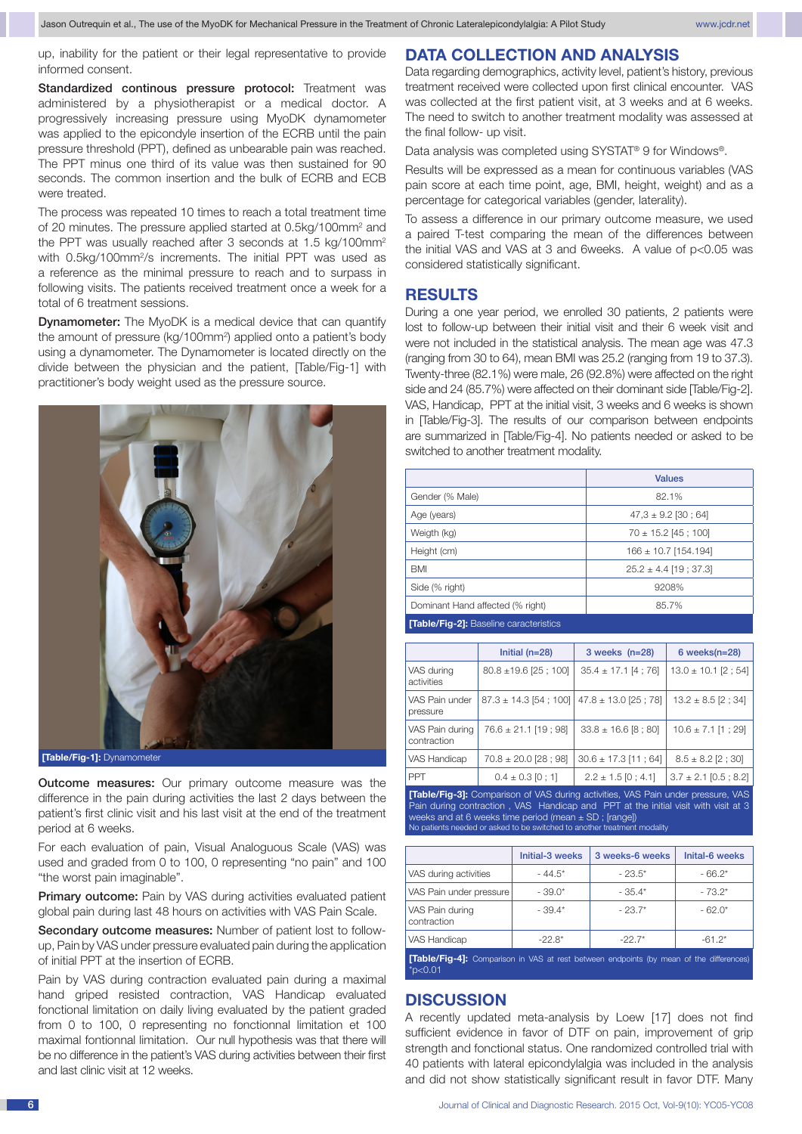up, inability for the patient or their legal representative to provide informed consent.

Standardized continous pressure protocol: Treatment was administered by a physiotherapist or a medical doctor. A progressively increasing pressure using MyoDK dynamometer was applied to the epicondyle insertion of the ECRB until the pain pressure threshold (PPT), defined as unbearable pain was reached. The PPT minus one third of its value was then sustained for 90 seconds. The common insertion and the bulk of ECRB and ECB were treated.

The process was repeated 10 times to reach a total treatment time of 20 minutes. The pressure applied started at 0.5kg/100mm<sup>2</sup> and the PPT was usually reached after 3 seconds at 1.5 kg/100mm<sup>2</sup> with 0.5kg/100mm<sup>2</sup>/s increments. The initial PPT was used as a reference as the minimal pressure to reach and to surpass in following visits. The patients received treatment once a week for a total of 6 treatment sessions.

**Dynamometer:** The MyoDK is a medical device that can quantify the amount of pressure (kg/100mm<sup>2</sup>) applied onto a patient's body using a dynamometer. The Dynamometer is located directly on the divide between the physician and the patient, [Table/Fig-1] with practitioner's body weight used as the pressure source.



**[Table/Fig-1]:** Dynamometer

**Outcome measures:** Our primary outcome measure was the difference in the pain during activities the last 2 days between the patient's first clinic visit and his last visit at the end of the treatment period at 6 weeks.

For each evaluation of pain, Visual Analoguous Scale (VAS) was used and graded from 0 to 100, 0 representing "no pain" and 100 "the worst pain imaginable".

**Primary outcome:** Pain by VAS during activities evaluated patient global pain during last 48 hours on activities with VAS Pain Scale.

Secondary outcome measures: Number of patient lost to followup, Pain by VAS under pressure evaluated pain during the application of initial PPT at the insertion of ECRB.

Pain by VAS during contraction evaluated pain during a maximal hand griped resisted contraction. VAS Handicap evaluated fonctional limitation on daily living evaluated by the patient graded from 0 to 100, 0 representing no fonctionnal limitation et 100 maximal fontionnal limitation. Our null hypothesis was that there will be no difference in the patient's VAS during activities between their first and last clinic visit at 12 weeks.

## **Data collection and analysis**

Data regarding demographics, activity level, patient's history, previous treatment received were collected upon first clinical encounter. VAS was collected at the first patient visit, at 3 weeks and at 6 weeks. The need to switch to another treatment modality was assessed at the final follow- up visit.

Data analysis was completed using SYSTAT® 9 for Windows®.

Results will be expressed as a mean for continuous variables (VAS pain score at each time point, age, BMI, height, weight) and as a percentage for categorical variables (gender, laterality).

To assess a difference in our primary outcome measure, we used a paired T-test comparing the mean of the differences between the initial VAS and VAS at 3 and 6weeks. A value of p<0.05 was considered statistically significant.

## **Results**

During a one year period, we enrolled 30 patients, 2 patients were lost to follow-up between their initial visit and their 6 week visit and were not included in the statistical analysis. The mean age was 47.3 (ranging from 30 to 64), mean BMI was 25.2 (ranging from 19 to 37.3). Twenty-three (82.1%) were male, 26 (92.8%) were affected on the right side and 24 (85.7%) were affected on their dominant side [Table/Fig-2]. VAS, Handicap, PPT at the initial visit, 3 weeks and 6 weeks is shown in [Table/Fig-3]. The results of our comparison between endpoints are summarized in [Table/Fig-4]. No patients needed or asked to be switched to another treatment modality.

| <b>Values</b>             |
|---------------------------|
| 82.1%                     |
| $47.3 \pm 9.2$ [30; 64]   |
| $70 \pm 15.2$ [45 : 100]  |
| $166 \pm 10.7$ [154.194]  |
| $25.2 \pm 4.4$ [19; 37.3] |
| 9208%                     |
| 85.7%                     |
|                           |

#### **[Table/Fig-2]:** Baseline caracteristics

|                                                                                         | Initial $(n=28)$           | $3$ weeks $(n=28)$       | $6$ weeks $(n=28)$        |  |  |
|-----------------------------------------------------------------------------------------|----------------------------|--------------------------|---------------------------|--|--|
| VAS durina<br>activities                                                                | $80.8 \pm 19.6$ [25 ; 100] | $35.4 \pm 17.1$ [4 ; 76] | $13.0 \pm 10.1$ [2; 54]   |  |  |
| VAS Pain under<br>pressure                                                              | $87.3 \pm 14.3$ [54; 100]  | $47.8 \pm 13.0$ [25; 78] | $13.2 \pm 8.5$ [2; 34]    |  |  |
| VAS Pain during<br>contraction                                                          | $76.6 \pm 21.1$ [19; 98]   | $33.8 \pm 16.6$ [8 : 80] | $10.6 \pm 7.1$ [1; 29]    |  |  |
| VAS Handicap                                                                            | $70.8 \pm 20.0$ [28; 98]   | $30.6 \pm 17.3$ [11; 64] | $8.5 \pm 8.2$ [2; 30]     |  |  |
| <b>PPT</b>                                                                              | $0.4 \pm 0.3$ [0 : 1]      | $2.2 \pm 1.5$ [0 ; 4.1]  | $3.7 \pm 2.1$ [0.5 ; 8.2] |  |  |
| <b>[Table/Fig-3]:</b> Comparison of VAS during activities, VAS Pain under pressure, VAS |                            |                          |                           |  |  |

Pain during contraction , VAS Handicap and PPT at the initial visit with visit at 3 weeks and at 6 weeks time period (mean ± SD; [range])<br>No patients needed or asked to be switched to another treatment modality

|                                | Initial-3 weeks | 3 weeks-6 weeks | Inital-6 weeks |
|--------------------------------|-----------------|-----------------|----------------|
| VAS during activities          | $-44.5*$        | $-23.5*$        | $-66.2*$       |
| VAS Pain under pressure        | $-39.0*$        | $-35.4*$        | $-73.2*$       |
| VAS Pain during<br>contraction | $-39.4*$        | $-23.7*$        | $-62.0*$       |
| VAS Handicap                   | $-22.8*$        | $-22.7*$        | $-61.2*$       |
|                                |                 |                 |                |

**[Table/Fig-4]:** Comparison in VAS at \*p<0.01

## **Discussion**

A recently updated meta-analysis by Loew [17] does not find sufficient evidence in favor of DTF on pain, improvement of grip strength and fonctional status. One randomized controlled trial with 40 patients with lateral epicondylalgia was included in the analysis and did not show statistically significant result in favor DTF. Many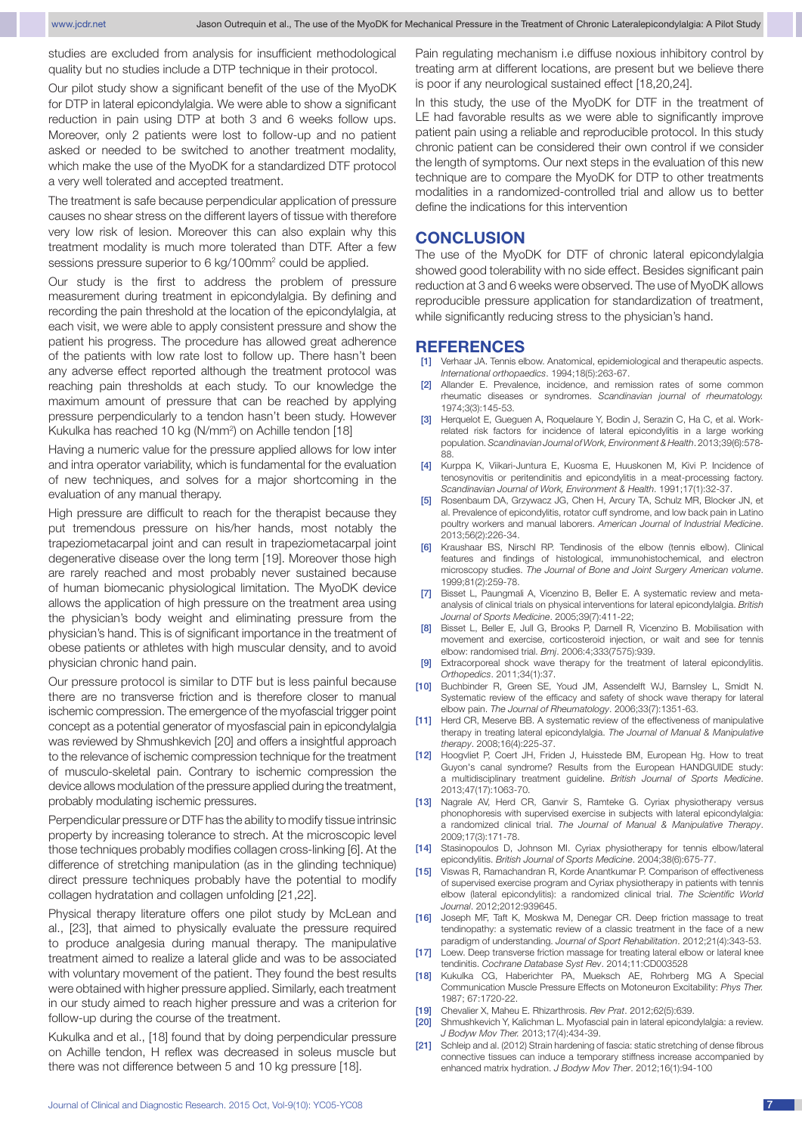studies are excluded from analysis for insufficient methodological quality but no studies include a DTP technique in their protocol.

Our pilot study show a significant benefit of the use of the MyoDK for DTP in lateral epicondylalgia. We were able to show a significant reduction in pain using DTP at both 3 and 6 weeks follow ups. Moreover, only 2 patients were lost to follow-up and no patient asked or needed to be switched to another treatment modality, which make the use of the MyoDK for a standardized DTF protocol a very well tolerated and accepted treatment.

The treatment is safe because perpendicular application of pressure causes no shear stress on the different layers of tissue with therefore very low risk of lesion. Moreover this can also explain why this treatment modality is much more tolerated than DTF. After a few sessions pressure superior to 6 kg/100mm<sup>2</sup> could be applied.

Our study is the first to address the problem of pressure measurement during treatment in epicondylalgia. By defining and recording the pain threshold at the location of the epicondylalgia, at each visit, we were able to apply consistent pressure and show the patient his progress. The procedure has allowed great adherence of the patients with low rate lost to follow up. There hasn't been any adverse effect reported although the treatment protocol was reaching pain thresholds at each study. To our knowledge the maximum amount of pressure that can be reached by applying pressure perpendicularly to a tendon hasn't been study. However Kukulka has reached 10 kg (N/mm<sup>2</sup>) on Achille tendon [18]

Having a numeric value for the pressure applied allows for low inter and intra operator variability, which is fundamental for the evaluation of new techniques, and solves for a major shortcoming in the evaluation of any manual therapy.

High pressure are difficult to reach for the therapist because they put tremendous pressure on his/her hands, most notably the trapeziometacarpal joint and can result in trapeziometacarpal joint degenerative disease over the long term [19]. Moreover those high are rarely reached and most probably never sustained because of human biomecanic physiological limitation. The MyoDK device allows the application of high pressure on the treatment area using the physician's body weight and eliminating pressure from the physician's hand. This is of significant importance in the treatment of obese patients or athletes with high muscular density, and to avoid physician chronic hand pain.

Our pressure protocol is similar to DTF but is less painful because there are no transverse friction and is therefore closer to manual ischemic compression. The emergence of the myofascial trigger point concept as a potential generator of myosfascial pain in epicondylalgia was reviewed by Shmushkevich [20] and offers a insightful approach to the relevance of ischemic compression technique for the treatment of musculo-skeletal pain. Contrary to ischemic compression the device allows modulation of the pressure applied during the treatment, probably modulating ischemic pressures.

Perpendicular pressure or DTF has the ability to modify tissue intrinsic property by increasing tolerance to strech. At the microscopic level those techniques probably modifies collagen cross-linking [6]. At the difference of stretching manipulation (as in the glinding technique) direct pressure techniques probably have the potential to modify collagen hydratation and collagen unfolding [21,22].

Physical therapy literature offers one pilot study by McLean and al., [23], that aimed to physically evaluate the pressure required to produce analgesia during manual therapy. The manipulative treatment aimed to realize a lateral glide and was to be associated with voluntary movement of the patient. They found the best results were obtained with higher pressure applied. Similarly, each treatment in our study aimed to reach higher pressure and was a criterion for follow-up during the course of the treatment.

Kukulka and et al., [18] found that by doing perpendicular pressure on Achille tendon, H reflex was decreased in soleus muscle but there was not difference between 5 and 10 kg pressure [18].

Pain regulating mechanism i.e diffuse noxious inhibitory control by treating arm at different locations, are present but we believe there is poor if any neurological sustained effect [18,20,24].

In this study, the use of the MyoDK for DTF in the treatment of LE had favorable results as we were able to significantly improve patient pain using a reliable and reproducible protocol. In this study chronic patient can be considered their own control if we consider the length of symptoms. Our next steps in the evaluation of this new technique are to compare the MyoDK for DTP to other treatments modalities in a randomized-controlled trial and allow us to better define the indications for this intervention

#### **Conclusion**

The use of the MyoDK for DTF of chronic lateral epicondylalgia showed good tolerability with no side effect. Besides significant pain reduction at 3 and 6 weeks were observed. The use of MyoDK allows reproducible pressure application for standardization of treatment, while significantly reducing stress to the physician's hand.

#### **References**

- [1] Verhaar JA. Tennis elbow. Anatomical, epidemiological and therapeutic aspects. *International orthopaedics*. 1994;18(5):263-67.
- [2] Allander E. Prevalence, incidence, and remission rates of some common rheumatic diseases or syndromes. *Scandinavian journal of rheumatology.*  1974;3(3):145-53.
- [3] Herquelot E, Gueguen A, Roquelaure Y, Bodin J, Serazin C, Ha C, et al. Workrelated risk factors for incidence of lateral epicondylitis in a large working population. *Scandinavian Journal of Work, Environment & Health*. 2013;39(6):578-  $88.$
- [4] Kurppa K, Viikari-Juntura E, Kuosma E, Huuskonen M, Kivi P. Incidence of tenosynovitis or peritendinitis and epicondylitis in a meat-processing factory. *Scandinavian Journal of Work, Environment & Health*. 1991;17(1):32-37.
- [5] Rosenbaum DA, Grzywacz JG, Chen H, Arcury TA, Schulz MR, Blocker JN, et al. Prevalence of epicondylitis, rotator cuff syndrome, and low back pain in Latino poultry workers and manual laborers. *American Journal of Industrial Medicine*. 2013;56(2):226-34.
- Kraushaar BS, Nirschl RP. Tendinosis of the elbow (tennis elbow). Clinical features and findings of histological, immunohistochemical, and electron microscopy studies. *The Journal of Bone and Joint Surgery American volume*. 1999;81(2):259-78.
- [7] Bisset L, Paungmali A, Vicenzino B, Beller E. A systematic review and metaanalysis of clinical trials on physical interventions for lateral epicondylalgia. *British Journal of Sports Medicine*. 2005;39(7):411-22;
- [8] Bisset L, Beller E, Jull G, Brooks P, Darnell R, Vicenzino B. Mobilisation with movement and exercise, corticosteroid injection, or wait and see for tennis elbow: randomised trial. *Bmj*. 2006:4;333(7575):939.
- [9] Extracorporeal shock wave therapy for the treatment of lateral epicondylitis. *Orthopedics*. 2011;34(1):37.
- [10] Buchbinder R, Green SE, Youd JM, Assendelft WJ, Barnsley L, Smidt N. Systematic review of the efficacy and safety of shock wave therapy for lateral elbow pain. *The Journal of Rheumatology*. 2006;33(7):1351-63.
- [11] Herd CR, Meserve BB. A systematic review of the effectiveness of manipulative therapy in treating lateral epicondylalgia. *The Journal of Manual & Manipulative therapy*. 2008;16(4):225-37.
- [12] Hoogvliet P, Coert JH, Friden J, Huisstede BM, European Hg. How to treat Guyon's canal syndrome? Results from the European HANDGUIDE study: a multidisciplinary treatment guideline. *British Journal of Sports Medicine*. 2013;47(17):1063-70.
- [13] Nagrale AV, Herd CR, Ganvir S, Ramteke G. Cyriax physiotherapy versus phonophoresis with supervised exercise in subjects with lateral epicondylalgia: a randomized clinical trial. *The Journal of Manual & Manipulative Therapy*. 2009;17(3):171-78.
- [14] Stasinopoulos D, Johnson MI. Cyriax physiotherapy for tennis elbow/lateral epicondylitis. *British Journal of Sports Medicine*. 2004;38(6):675-77.
- [15] Viswas R, Ramachandran R, Korde Anantkumar P. Comparison of effectiveness of supervised exercise program and Cyriax physiotherapy in patients with tennis elbow (lateral epicondylitis): a randomized clinical trial. *The Scientific World Journal*. 2012;2012:939645.
- [16] Joseph MF, Taft K, Moskwa M, Denegar CR. Deep friction massage to treat tendinopathy: a systematic review of a classic treatment in the face of a new paradigm of understanding. *Journal of Sport Rehabilitation*. 2012;21(4):343-53.
- [17] Loew. Deep transverse friction massage for treating lateral elbow or lateral knee tendinitis. *Cochrane Database Syst Rev*. 2014;11:CD003528
- [18] Kukulka CG, Haberichter PA, Mueksch AE, Rohrberg MG A Special Communication Muscle Pressure Effects on Motoneuron Excitability: *Phys Ther.* 1987; 67:1720-22.
- [19] Chevalier X, Maheu E. Rhizarthrosis. *Rev Prat*. 2012;62(5):639.
- [20] Shmushkevich Y, Kalichman L. Myofascial pain in lateral epicondylalgia: a review. *J Bodyw Mov Ther.* 2013;17(4):434-39.
- [21] Schleip and al. (2012) Strain hardening of fascia: static stretching of dense fibrous connective tissues can induce a temporary stiffness increase accompanied by enhanced matrix hydration. *J Bodyw Mov Ther*. 2012;16(1):94-100